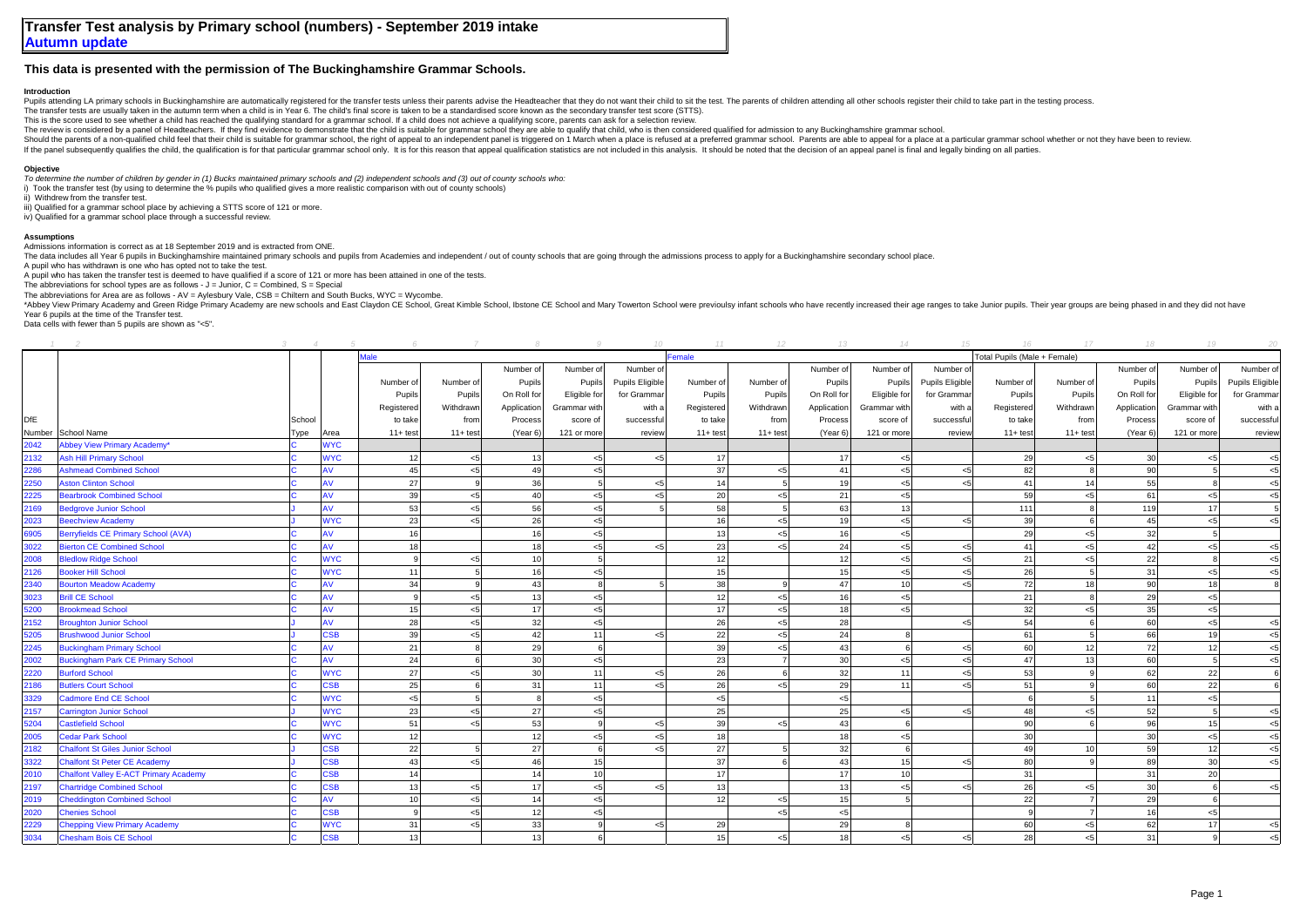## **This data is presented with the permission of The Buckinghamshire Grammar Schools.**

## **Introduction**

Pupils attending LA primary schools in Buckinghamshire are automatically registered for the transfer tests unless their parents advise the Headteacher that they do not want their child to sit the test. The parents of child

The transfer tests are usually taken in the autumn term when a child is in Year 6. The child's final score is taken to be a standardised score known as the secondary transfer test score (STTS).

This is the score used to see whether a child has reached the qualifying standard for a grammar school. If a child does not achieve a qualifying score, parents can ask for a selection review.

The review is considered by a parel of leadteachers. If they find evidence to demonstrate that the child is suitable for grammar school they are able to qualify that child. Who is then considered qualified for admission to

Should the parents of a non-qualified child feel that their child is suitable for grammar school, the right of appeal to an independent panel is triggered on 1 March when a place is refused at a preferred grammar school. P If the panel subsequently qualifies the child, the qualification is for that particular grammar school only. It is for this reason that appeal qualification statistics are not included in this analysis. It should be noted

## **Objective**

*To determine the number of children by gender in (1) Bucks maintained primary schools and (2) independent schools and (3) out of county schools who:*

i) Took the transfer test (by using to determine the % pupils who qualified gives a more realistic comparison with out of county schools)

ii) Withdrew from the transfer test.

iii) Qualified for a grammar school place by achieving a STTS score of 121 or more.

iv) Qualified for a grammar school place through a successful review.

## **Assumptions**

Admissions information is correct as at 18 September 2019 and is extracted from ONE.

The data includes all Year 6 publis in Buckinghamshire maintained primary schools and puplis from Academies and independent / out of county schools that are going through the admissions process to apply for a Buckinghamshi

A pupil who has withdrawn is one who has opted not to take the test. A pupil who has taken the transfer test is deemed to have qualified if a score of 121 or more has been attained in one of the tests.

The abbreviations for school types are as follows -  $J =$  Junior,  $C =$  Combined,  $S =$  Special

The abbreviations for Area are as follows - AV = Aylesbury Vale, CSB = Chiltern and South Bucks, WYC = Wycombe.

\*Abbey View Primary Academy and Green Ridge Primary Academy are new schools and East Claydon CE School, Great Kimble School, Ibstone CE School and Mary Towerton School were previoulsy infant schools who have recently incre Year 6 pupils at the time of the Transfer test.

Data cells with fewer than 5 pupils are shown as "<5".

|      |                                              |        |            |              |            |                 |              |                 | 11         |             | 13          | 14              |                 |                              | $17^{1}$       | 18              | 19             | 20              |
|------|----------------------------------------------|--------|------------|--------------|------------|-----------------|--------------|-----------------|------------|-------------|-------------|-----------------|-----------------|------------------------------|----------------|-----------------|----------------|-----------------|
|      |                                              |        |            | <b>Male</b>  |            |                 |              |                 | Female     |             |             |                 |                 | Total Pupils (Male + Female) |                |                 |                |                 |
|      |                                              |        |            |              |            | Number of       | Number of    | Number of       |            |             | Number of   | Number of       | Number of       |                              |                | Number of       | Number of      | Number of       |
|      |                                              |        |            | Number of    | Number of  | Pupils          | Pupils       | Pupils Eligible | Number of  | Number of   | Pupils      | Pupils          | Pupils Eligible | Number of                    | Number of      | Pupils          | Pupils         | Pupils Eligible |
|      |                                              |        |            | Pupils       | Pupils     | On Roll for     | Eligible for | for Grammar     | Pupils     | Pupils      | On Roll for | Eligible for    | for Grammar     | Pupils                       | Pupils         | On Roll for     | Eligible for   | for Grammar     |
|      |                                              |        |            | Registered   | Withdrawn  | Application     | Grammar with | with a          | Registered | Withdrawn   | Application | Grammar with    | with a          | Registered                   | Withdrawn      | Application     | Grammar with   | with a          |
| DfE  |                                              | School |            | to take      | from       | Process         | score of     | successful      | to take    | from        | Process     | score of        | successful      | to take                      | from           | Process         | score of       | successful      |
|      | Number School Name                           | Гуре   | Area       | $11+ test$   | $11+ test$ | (Year 6)        | 121 or more  | review          | $11+$ test | $11 + test$ | (Year 6)    | 121 or more     | review          | $11 + test$                  | $11 + test$    | (Year 6)        | 121 or more    | review          |
| 2042 | <b>Abbey View Primary Academy*</b>           |        | <b>NYC</b> |              |            |                 |              |                 |            |             |             |                 |                 |                              |                |                 |                |                 |
| 2132 | <b>Ash Hill Primary School</b>               |        | <b>NYC</b> | 12           | $<$ 5      | 13              | < 5          | بي -            | 17         |             | 17          | $<$ 5           |                 | 29                           | < 5            | 30 <sup>1</sup> |                | $<$ 5           |
| 2286 | <b>Ashmead Combined School</b>               |        | ١V         | 45           | $<$ 5      | 49              | $<$ 5        |                 | 37         | $\leq$ 5    | 41          | < 5             | $\leq$          | 82                           |                | 90              |                | $<$ 5           |
| 2250 | <b>Aston Clinton School</b>                  |        | AV         | 27           |            | 36              | 5            | 4ج              | 14         |             | 19          | < 5             | < 5             | 41                           | 14             | 55              |                | $<$ 5           |
| 2225 | <b>Bearbrook Combined School</b>             |        | AV         | 39           | $<$ 5      | 40              | < 5          | 4ج              | 20         | < 5         | 21          | < 5             |                 | 59                           | < 5            | 61              | $\leq$ 5       | $<$ 5           |
| 2169 | <b>Bedgrove Junior School</b>                |        | AV         | 53           | $<$ 5      | 56              | < 5          |                 | 58         |             | 63          | 13              |                 | 111                          | 8              | 119             | 17             | 5               |
| 2023 | <b>Beechview Academy</b>                     |        | <b>NYC</b> | 23           | $<$ 5      | 26              | < 5          |                 | 16         | 5           | 19          | < 5             | < 5             | 39                           | 6              | 45              | < 5            | $5$             |
| 6905 | Berryfields CE Primary School (AVA)          |        | ١V         | 16           |            | 16              | < 5          |                 | 13         | $<$ 5       | 16          | < 5             |                 | 29                           | < 5            | 32              |                |                 |
| 3022 | <b>Bierton CE Combined School</b>            |        | AV         | 18           |            | 18              | $<$ 5        | $\leq$ 5        | 23         | 5           | 24          | $< 5$           | $<$ 5           | 41                           | < 5            | 42              | < 5            | $5$             |
| 2008 | <b>Bledlow Ridge School</b>                  |        | <b>WYC</b> | $\mathbf{Q}$ | $<$ 5      | 10              | 5            |                 | 12         |             | 12          | < 5             | $\leq$          | 21                           | $<$ 5          | 22              |                | $5$             |
| 2126 | <b>Booker Hill School</b>                    |        | <b>WYC</b> | 11           |            | 16              | < 5          |                 | 15         |             | 15          | < 5             | $<$ 5           | 26                           | $\overline{5}$ | 31              | $\epsilon$ 5   | $<$ 5           |
| 2340 | <b>Bourton Meadow Academy</b>                |        | AV         | 34           |            | 43              | 8            |                 | 38         |             | 47          | 10 <sup>1</sup> | < 5             | 72                           | 18             | 90              | 18             |                 |
| 3023 | <b>Brill CE School</b>                       |        | AV         | 9            | < 5        | 13              | $<$ 5        |                 | 12         | < 5         | 16          | < 5             |                 | 21                           | $\mathbf{R}$   | 29              | 5ے             |                 |
| 5200 | <b>Brookmead School</b>                      |        | ١V         | 15           | $<$ 5      | 17              | < 5          |                 | 17         | < 5         | 18          | <5              |                 | 32                           | $<$ 5          | 35              | $\leq$ 5       |                 |
| 2152 | <b>Broughton Junior School</b>               |        | AV         | 28           | < 5        | 32              | < 5          |                 | 26         | < 5         | 28          |                 | $<$ 5           | 54                           | 6              | 60              | $<$ 5          | $5$             |
| 5205 | <b>Brushwood Junior School</b>               |        | SSB        | 39           | $<$ 5      | 42              | 11           | 4ج              | 22         | < 5         | 24          |                 |                 | 61                           | $\overline{5}$ | 66              | 1 <sup>c</sup> | $<$ 5           |
| 2245 | <b>Buckingham Primary School</b>             |        | ١V         | 21           |            | 29              | 6            |                 | 39         | < 5         | 43          |                 | <5              | 60                           | 12             | 72              | 12             | $<$ 5           |
| 2002 | <b>Buckingham Park CE Primary School</b>     |        | AV         | 24           |            | 30 <sup>1</sup> | < 5          |                 | 23         |             | 30          | < 5             | < 5             | 47                           | 13             | 60              |                | $<$ 5           |
| 2220 | <b>Burford School</b>                        |        | <b>NYC</b> | 27           | < 5        | 30              | 11           | ء ہے            | 26         |             | 32          | 11              | < 5             | 53                           |                | 62              | 22             | 6               |
| 2186 | <b>Butlers Court School</b>                  |        | <b>SB</b>  | 25           |            | 31              | 11           | 4ج              | 26         | < 5         | 29          | 11              | < 5             | 51                           | 9              | 60 <sup>1</sup> | 22             |                 |
| 3329 | <b>Cadmore End CE School</b>                 |        | <b>NYC</b> | $< 5$        |            | $\mathbf{R}$    | < 5          |                 | $<$ 5      |             | $<$ 5       |                 |                 |                              | 5 <sup>1</sup> | 11              | $<$ 5          |                 |
| 2157 | <b>Carrington Junior School</b>              |        | <b>WYC</b> | 23           | < 5        | 27              | < 5          |                 | 25         |             | 25          | < 5             | $<$ 5           | 48                           | < 5            | 52              |                | $5$             |
| 5204 | <b>Castlefield School</b>                    |        | <b>WYC</b> | 51           | $<$ 5      | 53              | 9            | $<$ 5           | 39         | < 5         | 43          |                 |                 | 90 <sup>°</sup>              |                | 96              | 15             | $5$             |
| 2005 | <b>Cedar Park School</b>                     |        | <b>NYC</b> | 12           |            | 12              | < 5          | جے              | 18         |             | 18          | < 5             |                 | 30 <sup>1</sup>              |                | 30              | $\leq 5$       | $<$ 5           |
| 2182 | <b>Chalfont St Giles Junior School</b>       |        | SSB        | 22           |            | 27              | 6            | 4ج              | 27         |             | 32          |                 |                 | 49                           | 10             | 59              | 12             | $<$ 5           |
| 3322 | <b>Chalfont St Peter CE Academy</b>          |        | <b>SB</b>  | 43           | < 5        | 46              | 15           |                 | 37         |             | 43          | 15              | < 5             | 80                           |                | 89              | $30^{\circ}$   | $<$ 5           |
| 2010 | <b>Chalfont Valley E-ACT Primary Academy</b> |        | 38B        | 14           |            | 14              | 10           |                 | 17         |             | 17          | 10 <sup>1</sup> |                 | 31                           |                | 31              | 20             |                 |
| 2197 | <b>Chartridge Combined School</b>            |        | <b>CSB</b> | 13           | < 5        | 17              | < 5          | $\leq$          | 13         |             | 13          | < 5             | < 5             | 26                           | < 5            | 30              |                | < 5             |
| 2019 | <b>Cheddington Combined School</b>           |        | ١V         | 10           | < 5        | 14              | < 5          |                 | 12         | < 5         | 15          |                 |                 | 22                           | $\overline{7}$ | 29              |                |                 |
| 2020 | <b>Chenies School</b>                        |        | SSB        |              | $<$ 5      | 12              | < 5          |                 |            | < 5         | $<$ 5       |                 |                 |                              |                | 16              | بمر            |                 |
| 2229 | <b>Chepping View Primary Academy</b>         |        | <b>WYC</b> | 31           | < 5        | 33              | 9            | تبر             | 29         |             | 29          |                 |                 | 60                           | < 5            | 62              | 17             | $<$ 5           |
| 3034 | <b>Chesham Bois CE School</b>                |        | <b>CSB</b> | 13           |            | 13              | 6            |                 | 15         | $5$         | 18          | < 5             | $<$ 5           | 28                           | < 5            | 31              |                | $<$ 5           |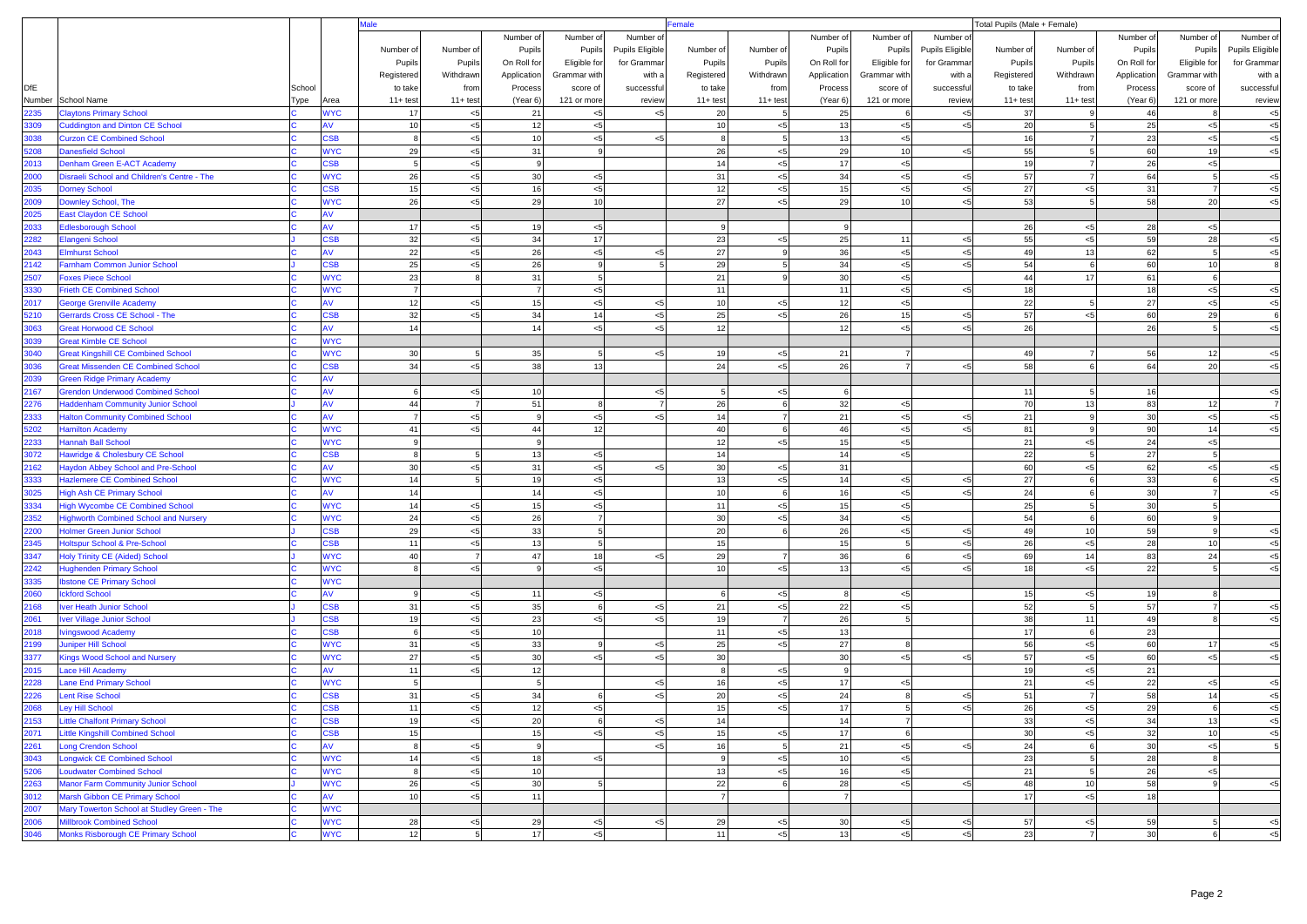|              |                                                                          |        |                               | <b>Male</b>     |                | emale        |                |                 |                |                 | Total Pupils (Male + Female) |                      |                 |            |                 |             |                |                 |
|--------------|--------------------------------------------------------------------------|--------|-------------------------------|-----------------|----------------|--------------|----------------|-----------------|----------------|-----------------|------------------------------|----------------------|-----------------|------------|-----------------|-------------|----------------|-----------------|
|              |                                                                          |        |                               |                 |                | Number of    | Number of      | Number o        |                |                 | Number of                    | Number of            | Number of       |            |                 | Number of   | Number of      | Number of       |
|              |                                                                          |        |                               | Number of       | Number of      | Pupils       | Pupils         | Pupils Eligible | Number of      | Number of       | Pupils                       | Pupils               | Pupils Eligible | Number of  | Number of       | Pupils      | Pupils         | Pupils Eligible |
|              |                                                                          |        |                               | Pupils          | Pupils         | On Roll for  | Eligible for   | for Gramma      | Pupils         | Pupils          | On Roll for                  | Eligible for         | for Gramma      | Pupils     | Pupils          | On Roll for | Eligible for   | for Gramma      |
|              |                                                                          |        |                               | Registered      | Withdrawn      | Application  | Grammar with   | with            | Registered     | Withdrawn       | Application                  | Grammar with         | with a          | Registered | Withdrawn       | Application | Grammar with   | with a          |
| <b>DfE</b>   |                                                                          | School |                               | to take         | from           | Process      | score of       | successfu       | to take        | from            | Process                      | score of             | successful      | to take    | from            | Process     | score of       | successfu       |
| Number       | School Name                                                              | Type   | Area                          | $11+ test$      | $11 + test$    | (Year 6)     | 121 or more    | review          | $11 + test$    | $11 + test$     | (Year 6)                     | 121 or more          | review          | $11+ test$ | $11+ test$      | (Year 6)    | 121 or more    | review          |
| 2235         | <b>Claytons Primary School</b>                                           |        | <b>WYC</b>                    | 17              | $< 5$          | 21           | < 5            |                 | 20             | 5               | 25                           | 6                    | $5$             | 37         | $\mathsf{Q}$    | 46          |                | $< 5$           |
| 3309         | <b>Cuddington and Dinton CE School</b>                                   |        | AV                            | 10              | $< 5$          | 12           | < 5            |                 | 10             | < 5             | 13                           | $<$ 5                | $5$             | 20         | $\overline{5}$  | 25          | $<$ 5          | $< 5$           |
| 3038         | <b>Curzon CE Combined School</b>                                         |        | $\overline{\text{S}}\text{B}$ | 8               | $< 5$          | 10           | < 5            | $\leq$          | 8              | 5 <sub>5</sub>  | 13                           | < 5                  |                 | 16         |                 | 23          | $< 5$          | $<$ 5           |
| 5208         | <b>Danesfield School</b>                                                 |        | <b>WYC</b>                    | 29              | $< 5$          | 31           | $\mathbf{9}$   |                 | 26             | < 5             | 29                           | 10                   | $5$             | 55         | 5               | 60          | 19             | $<$ 5           |
| 2013         | Denham Green E-ACT Academy                                               |        | <b>SB</b>                     | 5               | $< 5$          | $\mathbf{g}$ |                |                 | 14             | $< 5$           | 17                           | $<$ 5                |                 | 19         | $\overline{7}$  | 26          | < 5            |                 |
| 2000         | Disraeli School and Children's Centre - The                              |        | <b>WYC</b>                    | 26              | $< 5$          | 30           | < 5            |                 | 31             | < 5             | 34                           | < 5                  | $<$ 5           | 57         | $\overline{7}$  | 64          | -51            | $<$ 5           |
| 2035         | <b>Dorney School</b>                                                     |        | <b>SB</b>                     | 15              | $< 5$          | 16           | < 5            |                 | 12             | $< 5$           | 15                           | < 5                  | $5$             | 27         | < 5             | 31          |                | $<$ 5           |
| 2009         | Downley School, The                                                      |        | <b>WYC</b>                    | 26              | $< 5$          | 29           | 10             |                 | 27             | < 5             | 29                           | 10 <sup>1</sup>      | 5               | 53         | 5               | 58          | 20             | $\leq$ 5        |
| 2025         | <b>East Claydon CE School</b>                                            |        | AV                            |                 |                |              |                |                 |                |                 |                              |                      |                 |            |                 |             |                |                 |
| 2033<br>2282 | <b>Edlesborough School</b>                                               |        | SB                            | 17<br>32        | $< 5$<br>$< 5$ | 19<br>34     | < 5<br>17      |                 | -9<br>23       | < 5             | 9<br>25                      | 11                   | $<$ 5           | 26<br>55   | < 5<br>< 5      | 28<br>59    | $<$ 5<br>28    | $<$ 5           |
| 2043         | <b>Elangeni School</b><br><b>Elmhurst School</b>                         |        | AV                            | 22              | $< 5$          | 26           | < 5            |                 | 27             | $\mathbf{q}$    | 36                           | $<$ 5                | $5$             | 49         | 13              | 62          | 5              | < 5             |
| 2142         | <b>Farnham Common Junior School</b>                                      |        | <b>SB</b>                     | 25              | < 5            | 26           | 9              |                 | 29             | $5\overline{5}$ | 34                           | < 5                  | $5$             | 54         | 6               | 60          | 10             |                 |
| 2507         | <b>Foxes Piece School</b>                                                |        | <b>WYC</b>                    | 23              |                | 31           | 5              |                 | 21             | $\mathbf{Q}$    | 30                           | < 5                  |                 | 44         | 17              | 61          | 6              |                 |
| 3330         | <b>Frieth CE Combined School</b>                                         |        | <b>WYC</b>                    | $\overline{7}$  |                |              | < 5            |                 | 11             |                 | 11                           | < 5                  | $5$             | 18         |                 | 18          | $<$ 5          | $<$ 5           |
| 2017         | <b>George Grenville Academy</b>                                          |        | ۹V                            | 12              | < 5            | 15           | < 5            | $\leq$          | 10             | < 5             | 12                           | $<$ 5                |                 | 22         | $\overline{5}$  | 27          | $< 5$          | $<$ 5           |
| 5210         | Gerrards Cross CE School - The                                           |        | <b>SB</b>                     | 32              | $< 5$          | 34           | 14             | $<$ 5           | 25             | $< 5$           | 26                           | 15                   | 5               | 57         | < 5             | 60          | 29             | 6               |
| 3063         | <b>Great Horwood CE School</b>                                           |        | w                             | 14              |                | 14           | < 5            |                 | 12             |                 | 12                           | < 5                  | 5               | 26         |                 | 26          | -5             | $<$ 5           |
| 3039         | <b>Great Kimble CE School</b>                                            |        | <b>VYC</b>                    |                 |                |              |                |                 |                |                 |                              |                      |                 |            |                 |             |                |                 |
| 3040         | <b>Great Kingshill CE Combined School</b>                                |        | <b>WYC</b>                    | 30 <sup>l</sup> | -5             | 35           | 5              | <5              | 19             | < 5             | 21                           | $\overline{7}$       |                 | 49         |                 | 56          | 12             | < 5             |
| 3036         | <b>Great Missenden CE Combined School</b>                                |        | <b>SB</b>                     | 34              | $< 5$          | 38           | 13             |                 | 24             | < 5             | 26                           |                      | 5               | 58         | $\mathbf{6}$    | 64          | 20             | $<$ 5           |
| 2039         | <b>Green Ridge Primary Academy</b>                                       |        |                               |                 |                |              |                |                 |                |                 |                              |                      |                 |            |                 |             |                |                 |
| 2167         | <b>Grendon Underwood Combined School</b>                                 |        | AV                            | 6               | $< 5$          | 10           |                |                 | $\overline{5}$ | < 5             | ĥ                            |                      |                 | 11         | 5               | 16          |                | $< 5$           |
| 2276         | <b>Haddenham Community Junior School</b>                                 |        | AV                            | 44              | $\overline{7}$ | 51           | 8              |                 | 26             | 6               | 32                           | < 5                  |                 | 70         | 13              | 83          | 12             |                 |
| 2333         | <b>Halton Community Combined School</b>                                  |        | AV                            | $\overline{7}$  | $< 5$          | $\mathbf{g}$ | < 5            |                 | 14             |                 | 21                           | $<$ 5                | $<$ 5           | 21         | 9               | 30          | < 5            | $<$ 5           |
| 5202         | <b>Hamilton Academy</b>                                                  |        | <b>WYC</b>                    | 41              | $5$            | 44           | 12             |                 | 40             | 6               | 46                           | < 5                  | $5$             | 81         | $\mathbf{9}$    | 90          | 14             | < 5             |
| 2233         | Hannah Ball School                                                       |        | <b>WYC</b>                    | 9               |                | -9           |                |                 | 12             | $< 5$           | 15                           | < 5                  |                 | 21         | < 5             | 24          | < 5            |                 |
| 3072         | Hawridge & Cholesbury CE School                                          |        | <b>SB</b>                     | $\mathbf{8}$    | -5             | 13           | < 5            |                 | 14             |                 | 14                           | < 5                  |                 | 22         | 5               | 27          | 5              |                 |
| 2162         | <b>Haydon Abbey School and Pre-School</b>                                |        | AV                            | 30              | $< 5$          | 31           | < 5            |                 | 30             | < 5             | 31                           |                      |                 | 60         | < 5             | 62          | < 5            | $<$ 5           |
| 3333         | <b>Hazlemere CE Combined School</b>                                      |        | <b>WYC</b>                    | 14              |                | 19           | < 5            |                 | 13             | $<$ 5           | 14                           | < 5                  | $5$             | 27         | $\mathbf{6}$    | 33          | 6              | $<$ 5           |
| 3025         | <b>High Ash CE Primary School</b>                                        |        | AV                            | 14              |                | 14           | < 5            |                 | 10             | 6               | 16                           | < 5                  | 5               | 24         | 6               | 30          | $\overline{7}$ | < 5             |
| 3334         | <b>High Wycombe CE Combined School</b>                                   |        | <b>NYC</b>                    | 14              | $< 5$          | 15           | < 5            |                 | 11             | < 5             | 15                           | < 5                  |                 | 25         | 5               | 30          | 5              |                 |
| 2352         | <b>Highworth Combined School and Nursery</b>                             |        | <b>WYC</b>                    | 24              | $< 5$          | 26           | $\overline{7}$ |                 | 30             | $<$ 5           | 34                           | < 5                  |                 | 54         | 6               | 60          |                |                 |
| 2200         | <b>Holmer Green Junior School</b>                                        |        | <b>CSB</b>                    | 29              | $< 5$          | 33           | 5              |                 | 20             |                 | 26                           | < 5                  | $<$ 5<br>$5$    | 49         | 10 <sup>1</sup> | 59<br>28    | $\mathbf{q}$   | $<$ 5           |
| 2345<br>3347 | <b>Holtspur School &amp; Pre-School</b>                                  |        | <b>SB</b><br><b>WYC</b>       | 11<br>40        | $< 5$          | 13<br>47     | 5<br>18        |                 | 15<br>29       | $\overline{7}$  | 15<br>36                     | $\overline{5}$<br>-6 | $5$             | 26<br>69   | < 5<br>14       | 83          | 10<br>24       | < 5             |
| 2242         | <b>Holy Trinity CE (Aided) School</b><br><b>Hughenden Primary School</b> |        | <b>NYC</b>                    |                 | $5$            |              | < 5            |                 | 10             | < 5             | 13                           | < 5                  | 5               | 18         | < 5             | 22          |                | $<$ 5<br><5     |
| 3335         | <b>Ibstone CE Primary School</b>                                         |        | <b>WYC</b>                    |                 |                |              |                |                 |                |                 |                              |                      |                 |            |                 |             |                |                 |
| 2060         | <b>Ickford School</b>                                                    |        | AV                            | 9               | < 5            | 11           | < 5            |                 |                | < 5             |                              | < 5                  |                 | 15         | < 5             | 19          |                |                 |
| 2168         | ver Heath Junior School                                                  |        | <b>SB</b>                     | 31              | $< 5$          | 35           | 6              | <5              | 21             | < 5             | 22                           | < 5                  |                 | 52         | 5               | 57          |                | $<$ 5           |
| 2061         | <b>Iver Village Junior School</b>                                        |        | <b>SB</b>                     | 19              | $< 5$          | 23           | < 5            | $\leq$          | 19             | $\overline{7}$  | 26                           | 5                    |                 | 38         | 11              | 49          | $\mathbf{R}$   | $<$ 5           |
| 2018         | <b>Ivingswood Academy</b>                                                |        | <b>SB</b>                     | 6               | $< 5$          | 10           |                |                 | 11             | < 5             | 13                           |                      |                 | 17         | 6               | 23          |                |                 |
| 2199         | <b>Juniper Hill School</b>                                               |        | <b>WYC</b>                    | 31              | $< 5$          | 33           | 9              | <5              | 25             | < 5             | 27                           |                      |                 | 56         | < 5             | 60          | 17             | $5$             |
| 3377         | <b>Kings Wood School and Nursery</b>                                     |        | <b>WYC</b>                    | 27              | $< 5$          | 30           | < 5            |                 | 30             |                 | 30                           | < 5                  | 5               | 57         | < 5             | 60          | < 5            | $<$ 5           |
| 2015         | ace Hill Academy                                                         |        | ۹V                            | 11              | $< 5$          | 12           |                |                 | 8              | < 5             | $\mathbf{q}$                 |                      |                 | 19         | < 5             | 21          |                |                 |
| 2228         | <b>Lane End Primary School</b>                                           |        | <b>NYC</b>                    | $\overline{5}$  |                | 5            |                | 5>              | 16             | < 5             | 17                           | < 5                  |                 | 21         | < 5             | 22          | < 5            | $< 5$           |
| 2226         | <b>Lent Rise School</b>                                                  |        | <b>SB</b>                     | 31              | < 5            | 34           | 6              |                 | 20             | < 5             | 24                           |                      | $<$ 5           | 51         |                 | 58          | 14             | $<$ 5           |
| 2068         | <b>Ley Hill School</b>                                                   |        | <b>CSB</b>                    | 11              | $< 5$          | 12           | < 5            |                 | 15             | < 5             | 17                           | 5                    | $5$             | 26         | < 5             | 29          | 6              | $5$             |
| 2153         | <b>Little Chalfont Primary School</b>                                    |        | <b>SB</b>                     | 19              | $< 5$          | 20           | 6              | < 5             | 14             |                 | 14                           | $\overline{7}$       |                 | 33         | $<$ 5           | 34          | 13             | $5$             |
| 2071         | <b>Little Kingshill Combined School</b>                                  |        | CSB                           | 15              |                | 15           | < 5            | < 5             | 15             | $<$ 5           | 17                           | 6                    |                 | 30         | $< 5$           | 32          | 10             | $< 5$           |
| 2261         | Long Crendon School                                                      |        | AV                            | 8               | $< 5\,$        | - 9          |                |                 | 16             | $5\phantom{.0}$ | 21                           | $<$ 5                | $5$             | 24         | 6               | $30\,$      | $<$ 5          |                 |
| 3043         | <b>Longwick CE Combined School</b>                                       |        | <b>WYC</b>                    | 14              | $< 5$          | 18           | $<$ 5          |                 | 9              | $<$ 5           | 10                           | $<$ 5                |                 | 23         | 5 <sup>1</sup>  | 28          | 8              |                 |
| 5206         | Loudwater Combined School                                                |        | <b>WYC</b>                    | 8               | $< 5$          | 10           |                |                 | 13             | < 5             | 16                           | $<$ 5                |                 | 21         | 5 <sub>l</sub>  | 26          | < 5            |                 |
| 2263         | <b>Manor Farm Community Junior School</b>                                |        | <b>WYC</b>                    | 26              | $< 5$          | 30           | 5 <sup>1</sup> |                 | 22             | 6               | 28                           | < 5                  | $5$             | 48         | 10              | 58          |                | $< 5$           |
| 3012         | Marsh Gibbon CE Primary School                                           |        | <b>AV</b>                     | 10              | $< 5$          | 11           |                |                 | $\overline{7}$ |                 | $\overline{7}$               |                      |                 | 17         | < 5             | 18          |                |                 |
| 2007         | Mary Towerton School at Studley Green - The                              |        | <b>WYC</b>                    |                 |                |              |                |                 |                |                 |                              |                      |                 |            |                 |             |                |                 |
| 2006         | <b>Millbrook Combined School</b>                                         |        | <b>WYC</b>                    | 28              | $< 5$          | 29           | < 5            | $<$ 5           | 29             | < 5             | 30 <sup>1</sup>              | < 5                  | $<$ 5           | 57         | < 5             | 59          | 5              | $5$             |
| 3046         | Monks Risborough CE Primary School                                       |        | <b>WYC</b>                    | 12              | 5 <sup>1</sup> | 17           | $<$ 5          |                 | 11             | < 5             | 13                           | $<$ 5                | $5$             | 23         | 7               | 30          |                | $< 5$           |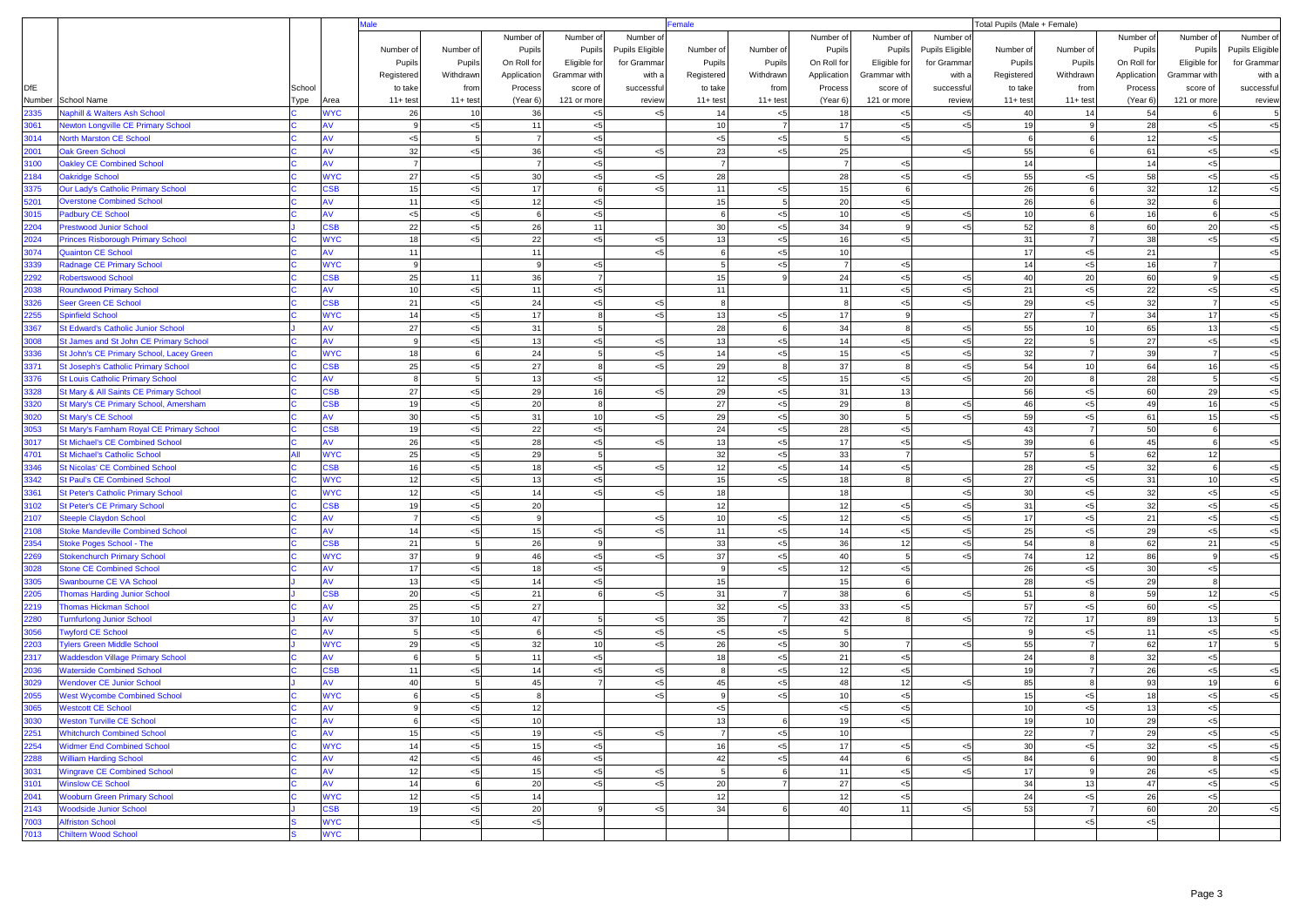|              |                                                                        |        |                         | <b>Male</b>    | emale            |                |                  |                 |                      | Total Pupils (Male + Female) |                      |                |                 |             |                      |             |                   |                 |
|--------------|------------------------------------------------------------------------|--------|-------------------------|----------------|------------------|----------------|------------------|-----------------|----------------------|------------------------------|----------------------|----------------|-----------------|-------------|----------------------|-------------|-------------------|-----------------|
|              |                                                                        |        |                         |                |                  | Number of      | Number of        | Number o        |                      |                              | Number of            | Number of      | Number of       |             |                      | Number of   | Number of         | Number of       |
|              |                                                                        |        |                         | Number of      | Number of        | Pupils         | Pupils           | Pupils Eligible | Number of            | Number of                    | Pupils               | Pupils         | Pupils Eligible | Number of   | Number of            | Pupils      | Pupils            | Pupils Eligible |
|              |                                                                        |        |                         | Pupils         | Pupils           | On Roll for    | Eligible for     | for Gramma      | Pupils               | Pupils                       | On Roll for          | Eligible for   | for Gramma      | Pupils      | Pupils               | On Roll for | Eligible for      | for Gramma      |
|              |                                                                        |        |                         | Registered     | Withdrawn        | Application    | Grammar with     | with            | Registered           | Withdrawn                    | Application          | Grammar with   | with a          | Registered  | Withdrawn            | Application | Grammar with      | with a          |
| <b>DfE</b>   |                                                                        | School |                         | to take        | from             | Process        | score of         | successful      | to take              | from                         | Process              | score of       | successful      | to take     | from                 | Process     | score of          | successfu       |
| Number       | School Name                                                            | Type   | Area                    | $11+ test$     | $11+ test$       | (Year 6)       | 121 or more      | review          | $11+ test$           | $11 + test$                  | (Year 6)             | 121 or more    | review          | $11 + test$ | $11+ test$           | (Year 6)    | 121 or more       | review          |
| 2335         | <b>Naphill &amp; Walters Ash School</b>                                |        | <b>WYC</b>              | 26             | 10               | 36             | $< 5$            |                 | 14                   | $< 5$                        | 18                   | < 5            | $<$ 5           | 40          | 14                   | 54          |                   |                 |
| 3061         | <b>Newton Longville CE Primary School</b>                              |        | ۹V                      | 9              | $< 5$            | 11             | < 5              |                 | 10                   | $\overline{7}$               | 17                   | < 5            | $5$             | 19          | 9                    | 28          | $<$ 5             | $< 5$           |
| 3014         | <b>North Marston CE School</b>                                         |        |                         | < 5            | $5\overline{5}$  | $\overline{7}$ | < 5              |                 | < 5                  | < 5                          | 5                    | < 5            |                 | 6           | $\mathbf{6}$         | 12          | $< 5$             |                 |
| 2001         | <b>Jak Green School</b>                                                |        | AV                      | 32             | $< 5$            | 36             | < 5              |                 | 23                   | < 5                          | 25                   |                | $<$ 5           | 55          |                      | 61          | $<$ 5             | < 5             |
| 3100         | <b>Oakley CE Combined School</b>                                       |        |                         | $\overline{7}$ |                  | $\overline{7}$ | < 5              |                 | $\overline{7}$       |                              | $\overline{7}$       | < 5            |                 | 14          |                      | 14          | < 5               |                 |
| 2184         | <b>Oakridge School</b>                                                 |        | <b>WYC</b>              | 27             | < 5              | 30             | < 5              | <5              | 28                   |                              | 28                   | < 5            | $5$             | 55          | < 5                  | 58          | < 5               | $<$ 5           |
| 3375         | <b>Our Lady's Catholic Primary School</b>                              |        | SB                      | 15             | $< 5\,$          | 17             | $6 \overline{6}$ |                 | 11                   | < 5                          | 15                   | 6              |                 | 26          |                      | 32          | 12                | $<$ 5           |
| 5201         | <b>Overstone Combined School</b>                                       |        |                         | 11             | $< 5$            | 12             | < 5              |                 | 15                   | 5 <sub>5</sub>               | 20                   | < 5            |                 | 26          |                      | 32          | 6                 |                 |
| 3015         | <b>Padbury CE School</b>                                               |        | AV                      | < 5            | $< 5\,$          | -6             | < 5              |                 | 6                    | < 5                          | 10                   | < 5            | $<$ 5           | 10          | 6                    | 16          | 6                 | $5$             |
| 2204         | <b>Prestwood Junior School</b>                                         |        | <b>SB</b>               | 22             | $< 5$            | 26             | 11               |                 | 30                   | $< 5$                        | 34                   | 9              | 5               | 52          | 8                    | 60          | 20                | < 5             |
| 2024<br>3074 | Princes Risborough Primary School                                      |        | <b>VYC</b><br>١V        | 18<br>11       | $< 5$            | 22             | < 5              | <5              | 13<br>6              | $< 5$                        | 16                   | < 5            |                 | 31<br>17    | < 5                  | 38<br>21    | $<$ 5             | $<$ 5           |
|              | <b>Quainton CE School</b>                                              |        |                         | 9              |                  | 11<br>-9       |                  |                 | $\overline{5}$       | < 5                          | 10<br>$\overline{7}$ |                |                 |             |                      | 16          |                   | $< 5$           |
| 3339         | Radnage CE Primary School                                              |        | <b>NYC</b><br><b>SB</b> | 25             |                  | 36             | < 5              |                 |                      | $<$ 5<br>$\mathbf{Q}$        | 24                   | $<$ 5          |                 | 14<br>40    | < 5                  | 60          | 7<br>$\mathbf{q}$ |                 |
| 2292         | <b>Robertswood School</b>                                              |        |                         |                | 11               |                | $\overline{7}$   |                 | 15                   |                              |                      | < 5            | $<$ 5           |             | 20                   |             |                   | $< 5$           |
| 2038<br>3326 | <b>Roundwood Primary School</b><br>Seer Green CE School                |        | AV<br><b>SB</b>         | 10<br>21       | $< 5$<br>$< 5\,$ | 11<br>24       | < 5<br>< 5       | < 5             | 11<br>8              |                              | 11                   | < 5<br>< 5     | $<$ 5<br>$5$    | 21<br>29    | < 5<br>< 5           | 22<br>32    | < 5<br>7          | $<$ 5<br>< 5    |
| 2255         | <b>Spinfield School</b>                                                |        | <b>WYC</b>              | 14             | $< 5$            | 17             | 8                | $\leq 5$        | 13                   | < 5                          | 17                   | $\mathbf{q}$   |                 | 27          | $\overline{7}$       | 34          | 17                | < 5             |
| 3367         | <b>St Edward's Catholic Junior School</b>                              |        |                         | 27             | $< 5$            | 31             | 5                |                 | 28                   | $6 \overline{6}$             | 34                   | $\mathbf{R}$   | $<$ 5           | 55          | 10                   | 65          | 13                | $<$ 5           |
| 3008         | St James and St John CE Primary School                                 |        |                         | $\mathsf{Q}$   | $< 5$            | 13             | < 5              |                 | 13                   | $<$ 5                        | 14                   | < 5            | 5               | 22          | 5                    | 27          | $< 5$             | $<$ 5           |
| 3336         | St John's CE Primary School, Lacey Green                               |        | <b>WYC</b>              | 18             | -6               | 24             | 5                | < 5             | 14                   | < 5                          | 15                   | < 5            | $5$             | 32          | $\overline{7}$       | 39          | 7                 | $<$ 5           |
| 3371         | St Joseph's Catholic Primary School                                    |        | <b>SB</b>               | 25             | $< 5$            | 27             | 8                | <5              | 29                   | 8                            | 37                   | 8              | $< 5$           | 54          | 10                   | 64          | 16                | $< 5$           |
| 3376         | <b>St Louis Catholic Primary School</b>                                |        |                         | 8              |                  | 13             | < 5              |                 | 12                   | $< 5$                        | 15                   | $<$ 5          | $<$ 5           | 20          | 8                    | 28          |                   | $<$ 5           |
| 3328         | St Mary & All Saints CE Primary School                                 |        | S <sub>SB</sub>         | 27             | $5$              | 29             | 16               | $\leq 5$        | 29                   | < 5                          | 31                   | 13             |                 | 56          | < 5                  | 60          | 29                | $<$ 5           |
| 3320         | St Mary's CE Primary School, Amersham                                  |        | <b>SB</b>               | 19             | $< 5$            | 20             | 8                |                 | 27                   | < 5                          | 29                   | -8             | $<$ 5           | 46          | < 5                  | 49          | 16                | $<$ 5           |
| 3020         | <b>St Mary's CE School</b>                                             |        |                         | 30             | $< 5\,$          | 31             | 10               | <5              | 29                   | < 5                          | 30                   | 5              | $5$             | 59          | < 5                  | 61          | 15                | $<$ 5           |
| 3053         | St Mary's Farnham Royal CE Primary School                              |        | SSB                     | 19             | $< 5\,$          | 22             | < 5              |                 | 24                   | $< 5$                        | 28                   | < 5            |                 | 43          |                      | 50          | 6                 |                 |
| 3017         | <b>St Michael's CE Combined School</b>                                 |        | w                       | 26             | $< 5$            | 28             | < 5              | <5              | 13                   | < 5                          | 17                   | $<$ 5          | $5$             | 39          | 6                    | 45          | 6                 | $<$ 5           |
| 4701         | <b>St Michael's Catholic School</b>                                    |        | <b>NYC</b>              | 25             | $< 5$            | 29             | 5                |                 | 32                   | < 5                          | 33                   | $\overline{7}$ |                 | 57          | 5                    | 62          | 12                |                 |
| 3346         | <b>St Nicolas' CE Combined School</b>                                  |        | <b>SB</b>               | 16             | $< 5$            | 18             | < 5              | <5              | 12                   | < 5                          | 14                   | < 5            |                 | 28          | < 5                  | 32          |                   | $<$ 5           |
| 3342         | <b>St Paul's CE Combined School</b>                                    |        | <b>WYC</b>              | 12             | $< 5$            | 13             | < 5              |                 | 15                   | < 5                          | 18                   |                | $<$ 5           | 27          | < 5                  | 31          | 10                | $<$ 5           |
| 3361         | <b>St Peter's Catholic Primary School</b>                              |        | <b>WYC</b>              | 12             | < 5              | 14             | < 5              | $\leq 5$        | 18                   |                              | 18                   |                | $5$             | 30          | < 5                  | 32          | < 5               | $<$ 5           |
| 3102         | <b>St Peter's CE Primary School</b>                                    |        | <b>SB</b>               | 19             | $< 5$            | 20             |                  |                 | 12                   |                              | 12                   | < 5            | $< 5$           | 31          | < 5                  | 32          | $< 5$             | $<$ 5           |
| 2107         | <b>Steeple Claydon School</b>                                          |        |                         | $\overline{7}$ | $< 5$            | 9              |                  | <5              | 10                   | < 5                          | 12                   | < 5            | $5$             | 17          | < 5                  | 21          | $< 5$             | $<$ 5           |
| 2108         | <b>Stoke Mandeville Combined School</b>                                |        | AV                      | 14             | $< 5$            | 15             | < 5              |                 | 11                   | < 5                          | 14                   | < 5            | $5$             | 25          | < 5                  | 29          | < 5               | $<$ 5           |
| 2354         | <b>Stoke Poges School - The</b>                                        |        | <b>SB</b>               | 21             | -5               | 26             | 9                |                 | 33                   | < 5                          | 36                   | 12             | $5$             | 54          | 8                    | 62          | 21                | $<$ 5           |
| 2269         | <b>Stokenchurch Primary School</b>                                     |        | <b>NYC</b>              | 37             |                  | 46             | < 5              | <5              | 37                   | < 5                          | 40                   | $\overline{5}$ | $<$ 5           | 74          | 12                   | 86          | 9                 | < 5             |
| 3028         | <b>Stone CE Combined School</b>                                        |        |                         | 17             | $< 5$            | 18             | < 5              |                 | $\mathbf{q}$         | < 5                          | 12                   | < 5            |                 | 26          | < 5                  | 30          | $< 5$             |                 |
| 3305         | <b>Swanbourne CE VA School</b>                                         |        | AV                      | 13             | < 5              | 14             | < 5              |                 | 15                   |                              | 15                   | -6             |                 | 28          | < 5                  | 29          | 8                 |                 |
| 2205         | <b>Thomas Harding Junior School</b>                                    |        | <b>SB</b>               | 20             | $< 5$            | 21             | 6                | $<$ 5           | 31                   | $\overline{7}$               | 38                   | -6             | $<$ 5           | 51          | 8                    | 59          | 12                | < 5             |
| 2219         | <b>Thomas Hickman School</b>                                           |        |                         | 25             | $< 5$            | 27             |                  |                 | 32                   | < 5                          | 33                   | < 5            |                 | 57          | < 5                  | 60          | < 5               |                 |
| 2280         | <b>Turnfurlong Junior School</b>                                       |        |                         | 37             | 10               | 47             | 5                | < 5             | 35                   | $\overline{7}$               | 42                   | $\mathbf{R}$   | $5$             | 72          | 17                   | 89          | 13                |                 |
| 3056         | <b>Twyford CE School</b>                                               |        | AV                      | 5              | $< 5$            | 6              | < 5              | $<$ 5           | $5$                  | < 5                          | 5                    |                |                 | 9           | < 5                  | 11          | $< 5$             | $<$ 5           |
| 2203         | <b>Tylers Green Middle School</b>                                      |        | <b>WYC</b>              | 29             | $< 5$            | 32             | 10               | <5              | 26                   | < 5                          | 30                   |                | $<$ 5           | 55          |                      | 62          | 17                |                 |
| 2317         | <b>Waddesdon Village Primary School</b>                                |        | AV                      | 6              |                  | 11             | < 5              |                 | 18                   | $< 5$                        | 21                   | < 5            |                 | 24          | 8                    | 32          | $< 5$             |                 |
| 2036         | <b>Naterside Combined School</b>                                       |        | <b>SB</b>               | 11             | $< 5$            | 14             | < 5              | < 5             | -8                   | < 5                          | 12                   | < 5            |                 | 19          | $\overline{7}$       | 26          | $< 5$             | $<$ 5<br>6      |
| 3029         | <b>Wendover CE Junior School</b>                                       |        |                         | 40             |                  | 45             | $\overline{7}$   | $<$ 5           | 45                   | $< 5$                        | 48                   | 12             | $< 5$           | 85          | 8                    | 93          | 19                |                 |
| 2055         | <b>West Wycombe Combined School</b>                                    |        | <b>NYC</b>              | 6              | $< 5$            |                |                  |                 |                      | < 5                          | 10                   | < 5            |                 | 15          | < 5                  | 18          | $<$ 5             | $<$ 5           |
| 3065         | <b>Westcott CE School</b>                                              |        | <b>AV</b>               | 9              | $< 5$            | 12             |                  |                 | < 5                  |                              | < 5                  | $5$            |                 | 10          | < 5                  | 13          | < 5               |                 |
| 3030         | <b>Weston Turville CE School</b>                                       |        | AV                      | 6              | $< 5$            | 10             |                  |                 | 13<br>$\overline{7}$ | 6                            | 19                   | < 5            |                 | 19          | 10<br>$\overline{7}$ | 29          | $<$ 5             |                 |
| 2251<br>2254 | <b>Whitchurch Combined School</b><br><b>Widmer End Combined School</b> |        | AV<br><b>WYC</b>        | 15<br>14       | $< 5$<br>$< 5$   | 19<br>15       | $<$ 5<br>< 5     | $<$ 5           | 16                   | < 5<br>< 5                   | 10<br>17             | < 5            |                 | 22<br>30    | $< 5$                | 29<br>32    | < 5<br>< 5        | $<$ 5           |
| 2288         |                                                                        |        | AV                      | 42             | $< 5$            | 46             | < 5              |                 | 42                   | < 5                          | 44                   | 6              | $5$<br>$5$      | 84          | 6                    | 90          | 8                 | $< 5$<br>< 5    |
| 3031         | <b>William Harding School</b><br><b>Wingrave CE Combined School</b>    |        | AV                      | 12             | $< 5$            | 15             | < 5              | $<$ 5           | 5 <sub>5</sub>       | 6                            | 11                   | $<$ 5          | $5$             | 17          | 9                    | 26          | < 5               | $<$ 5           |
| 3101         | <b>Winslow CE School</b>                                               |        | AV                      | 14             | 6                | 20             | < 5              |                 | 20                   | $\overline{7}$               | 27                   | < 5            |                 | 34          | 13                   | 47          | ${<}5$            | $<$ 5           |
| 2041         | <b>Wooburn Green Primary School</b>                                    |        | <b>WYC</b>              | 12             | $< 5$            | 14             |                  |                 | 12                   |                              | 12                   | < 5            |                 | 24          | < 5                  | 26          | < 5               |                 |
| 2143         | <b>Woodside Junior School</b>                                          |        | <b>CSB</b>              | 19             | $< 5$            | 20             | 9                | $<$ 5           | 34                   | 6                            | 40                   | 11             | $<$ 5           | 53          | 7                    | 60          | 20                | $<$ 5           |
| 7003         | <b>Alfriston School</b>                                                |        | <b>WYC</b>              |                | $< 5$            | < 5            |                  |                 |                      |                              |                      |                |                 |             | $< 5$                | < 5         |                   |                 |
| 7013         | <b>Chiltern Wood School</b>                                            |        | <b>WYC</b>              |                |                  |                |                  |                 |                      |                              |                      |                |                 |             |                      |             |                   |                 |
|              |                                                                        |        |                         |                |                  |                |                  |                 |                      |                              |                      |                |                 |             |                      |             |                   |                 |